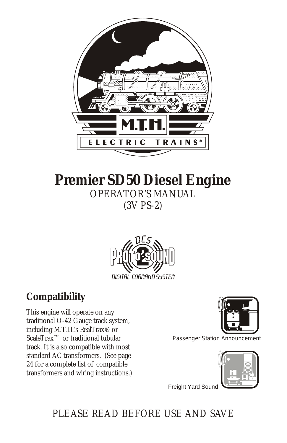

## **Premier SD50 Diesel Engine** OPERATOR'S MANUAL (3V PS-2)



## **Compatibility**

This engine will operate on any traditional O-42 Gauge track system, including M.T.H.'s RealTrax® or ScaleTrax<sup>™</sup> or traditional tubular track. It is also compatible with most standard AC transformers. (See page 24 for a complete list of compatible transformers and wiring instructions.)



Passenger Station Announcement



**Freight Yard Sound** 

## PLEASE READ BEFORE USE AND SAVE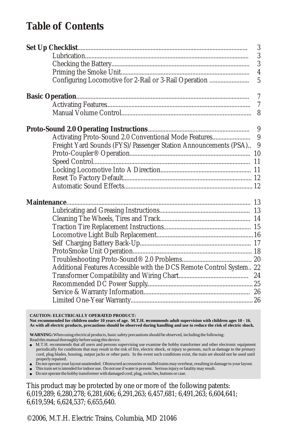### **Table of Contents**

|                                                                      | 3                       |
|----------------------------------------------------------------------|-------------------------|
|                                                                      | $\boldsymbol{3}$        |
|                                                                      | 3                       |
|                                                                      | $\overline{\mathbf{4}}$ |
| Configuring Locomotive for 2-Rail or 3-Rail Operation                | $\overline{5}$          |
|                                                                      | $\overline{7}$          |
|                                                                      | $\overline{7}$          |
|                                                                      | 8                       |
|                                                                      |                         |
| Activating Proto-Sound 2.0 Conventional Mode Features                | 9                       |
| Freight Yard Sounds (FYS)/Passenger Station Announcements (PSA) 9    |                         |
|                                                                      |                         |
|                                                                      |                         |
|                                                                      |                         |
|                                                                      |                         |
|                                                                      |                         |
| Maintenance                                                          |                         |
|                                                                      |                         |
|                                                                      |                         |
|                                                                      |                         |
|                                                                      |                         |
|                                                                      |                         |
|                                                                      |                         |
|                                                                      |                         |
| Additional Features Accessible with the DCS Remote Control System 22 |                         |
|                                                                      |                         |
|                                                                      |                         |
|                                                                      |                         |
|                                                                      |                         |

**CAUTION: ELECTRICALLY OPERATED PRODUCT: Not recommended for children under 10 years of age. M.T.H. recommends adult supervision with children ages 10 - 16. As with all electric products, precautions should be observed during handling and use to reduce the risk of electric shock.**

**WARNING:** When using electrical products, basic safety precautions should be observed, including the following: Read this manual thoroughly before using this device.

<sup>l</sup> M.T.H. recommends that all users and persons supervising use examine the hobby transformer and other electronic equipment periodically for conditions that may result in the risk of fire, electric shock, or injury to persons, such as damage to the primary cord, plug blades, housing, output jacks or other parts. In the event such conditions exist, the train set should not be used until properly repaired.

<sup>l</sup> Do not operate your layout unattended. Obstructed accessories or stalled trains may overheat, resulting in damage to your layout.

<sup>l</sup> This train set is intended for indoor use. Do not use if water is present. Serious injury or fatality may result. <sup>l</sup> Do not operate the hobby transformer with damaged cord, plug, switches, buttons or case.

This product may be protected by one or more of the following patents: 6,019,289; 6,280,278; 6,281,606; 6,291,263; 6,457,681; 6,491,263; 6,604,641; 6,619,594; 6,624,537; 6,655,640.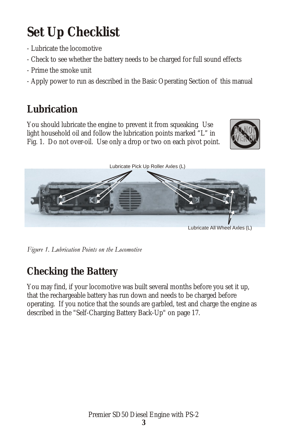# **Set Up Checklist**

- Lubricate the locomotive
- Check to see whether the battery needs to be charged for full sound effects
- Prime the smoke unit
- Apply power to run as described in the Basic Operating Section of this manual

## **Lubrication**

You should lubricate the engine to prevent it from squeaking. Use light household oil and follow the lubrication points marked "L" in Fig. 1. Do not over-oil. Use only a drop or two on each pivot point.





Figure 1. Lubrication Points on the Locomotive

## **Checking the Battery**

You may find, if your locomotive was built several months before you set it up, that the rechargeable battery has run down and needs to be charged before operating. If you notice that the sounds are garbled, test and charge the engine as described in the "Self-Charging Battery Back-Up" on page 17.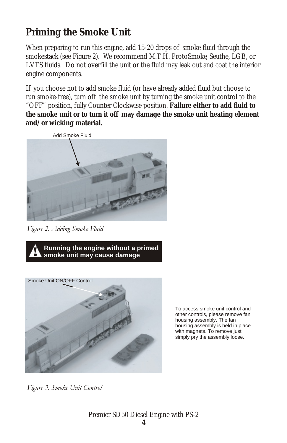## **Priming the Smoke Unit**

When preparing to run this engine, add 15-20 drops of smoke fluid through the smokestack (see Figure 2). We recommend M.T.H. ProtoSmoke, Seuthe, LGB, or LVTS fluids. Do not overfill the unit or the fluid may leak out and coat the interior engine components.

If you choose not to add smoke fluid (or have already added fluid but choose to run smoke-free), turn off the smoke unit by turning the smoke unit control to the "OFF" position, fully Counter Clockwise position. **Failure either to add fluid to the smoke unit or to turn it off may damage the smoke unit heating element and/or wicking material.**



Figure 2. Adding Smoke Fluid





To access smoke unit control and other controls, please remove fan housing assembly. The fan housing assembly is held in place with magnets. To remove just simply pry the assembly loose.

Figure 3. Smoke Unit Control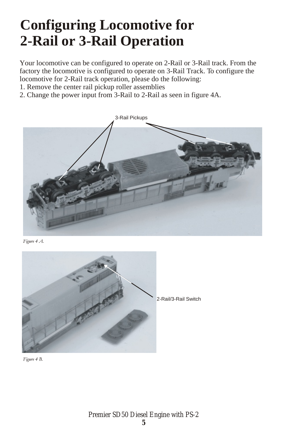# **Configuring Locomotive for 2-Rail or 3-Rail Operation**

Your locomotive can be configured to operate on 2-Rail or 3-Rail track. From the factory the locomotive is configured to operate on 3-Rail Track. To configure the locomotive for 2-Rail track operation, please do the following:

- 1. Remove the center rail pickup roller assemblies
- 2. Change the power input from 3-Rail to 2-Rail as seen in figure 4A.



Figure 4 A.



Figure 4 B.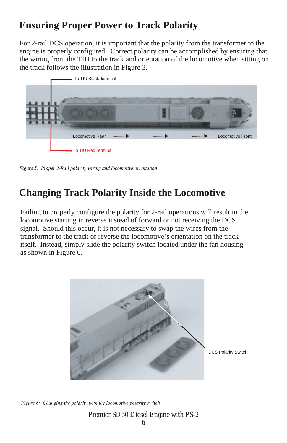## **Ensuring Proper Power to Track Polarity**

For 2-rail DCS operation, it is important that the polarity from the transformer to the engine is properly configured. Correct polarity can be accomplished by ensuring that the wiring from the TIU to the track and orientation of the locomotive when sitting on the track follows the illustration in Figure 3.



Figure 5: Proper 2-Rail polarity wiring and locomotive orientation

## **Changing Track Polarity Inside the Locomotive**

Failing to properly configure the polarity for 2-rail operations will result in the locomotive starting in reverse instead of forward or not receiving the DCS signal. Should this occur, it is not necessary to swap the wires from the transformer to the track or reverse the locomotive's orientation on the track itself. Instead, simply slide the polarity switch located under the fan housing as shown in Figure 6.



DCS Polarity Switch

Figure 6: Changing the polarity with the locomotive polarity switch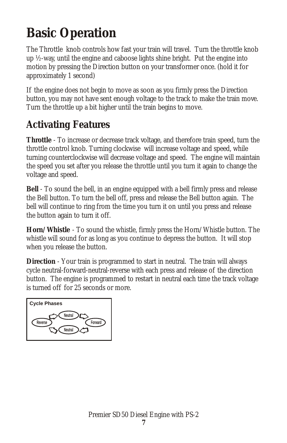# **Basic Operation**

The Throttle knob controls how fast your train will travel. Turn the throttle knob up ½-way, until the engine and caboose lights shine bright. Put the engine into motion by pressing the Direction button on your transformer once. (hold it for approximately 1 second)

If the engine does not begin to move as soon as you firmly press the Direction button, you may not have sent enough voltage to the track to make the train move. Turn the throttle up a bit higher until the train begins to move.

## **Activating Features**

**Throttle** - To increase or decrease track voltage, and therefore train speed, turn the throttle control knob. Turning clockwise will increase voltage and speed, while turning counterclockwise will decrease voltage and speed. The engine will maintain the speed you set after you release the throttle until you turn it again to change the voltage and speed.

**Bell** - To sound the bell, in an engine equipped with a bell firmly press and release the Bell button. To turn the bell off, press and release the Bell button again. The bell will continue to ring from the time you turn it on until you press and release the button again to turn it off.

**Horn/Whistle** - To sound the whistle, firmly press the Horn/Whistle button. The whistle will sound for as long as you continue to depress the button. It will stop when you release the button.

**Direction** - Your train is programmed to start in neutral. The train will always cycle neutral-forward-neutral-reverse with each press and release of the direction button. The engine is programmed to restart in neutral each time the track voltage is turned off for 25 seconds or more.

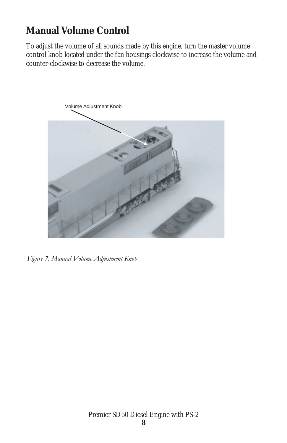## **Manual Volume Control**

To adjust the volume of all sounds made by this engine, turn the master volume control knob located under the fan housings clockwise to increase the volume and counter-clockwise to decrease the volume.



Figure 7. Manual Volume Adjustment Knob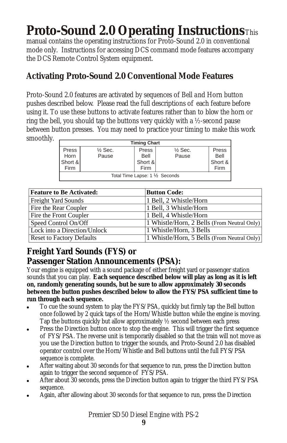## **Proto-Sound 2.0 Operating Instructions**This

manual contains the operating instructions for Proto-Sound 2.0 in conventional mode only. Instructions for accessing DCS command mode features accompany the DCS Remote Control System equipment.

### **Activating Proto-Sound 2.0 Conventional Mode Features**

Proto-Sound 2.0 features are activated by sequences of Bell and Horn button pushes described below. Please read the full descriptions of each feature before using it. To use these buttons to activate features rather than to blow the horn or ring the bell, you should tap the buttons very quickly with a ½-second pause between button presses. You may need to practice your timing to make this work smoothly.

| <b>Timing Chart</b>             |                    |         |                    |         |  |
|---------------------------------|--------------------|---------|--------------------|---------|--|
| Press                           | $\frac{1}{2}$ Sec. | Press   | $\frac{1}{2}$ Sec. | Press   |  |
| Horn                            | Pause              | Bell    | Pause              | Bell    |  |
| Short &                         |                    | Short & |                    | Short & |  |
| Firm                            |                    | Firm    |                    | Firm    |  |
| Total Time Lapse: 1 1/2 Seconds |                    |         |                    |         |  |

| <b>Feature to Be Activated:</b>  | <b>Button Code:</b>                         |
|----------------------------------|---------------------------------------------|
| <b>Freight Yard Sounds</b>       | 1 Bell, 2 Whistle/Horn                      |
| Fire the Rear Coupler            | 1 Bell, 3 Whistle/Horn                      |
| Fire the Front Coupler           | 1 Bell, 4 Whistle/Horn                      |
| Speed Control On/Off             | 1 Whistle/Horn, 2 Bells (From Neutral Only) |
| Lock into a Direction/Unlock     | 1 Whistle/Horn, 3 Bells                     |
| <b>Reset to Factory Defaults</b> | 1 Whistle/Horn, 5 Bells (From Neutral Only) |

### **Freight Yard Sounds (FYS) or**

#### **Passenger Station Announcements (PSA):**

Your engine is equipped with a sound package of either freight yard or passenger station sounds that you can play. **Each sequence described below will play as long as it is left on, randomly generating sounds, but be sure to allow approximately 30 seconds between the button pushes described below to allow the FYS/PSA sufficient time to run through each sequence.**

- ! To cue the sound system to play the FYS/PSA, quickly but firmly tap the Bell button once followed by 2 quick taps of the Horn/Whistle button while the engine is moving. Tap the buttons quickly but allow approximately ½ second between each press.
- ! Press the Direction button once to stop the engine. This will trigger the first sequence of FYS/PSA. The reverse unit is temporarily disabled so that the train will not move as you use the Direction button to trigger the sounds, and Proto-Sound 2.0 has disabled operator control over the Horn/Whistle and Bell buttons until the full FYS/PSA sequence is complete.
- After waiting about 30 seconds for that sequence to run, press the Direction button again to trigger the second sequence of FYS/PSA.
- After about 30 seconds, press the Direction button again to trigger the third FYS/PSA sequence.
- Again, after allowing about 30 seconds for that sequence to run, press the Direction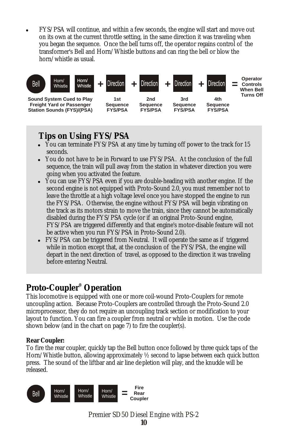! FYS/PSA will continue, and within a few seconds, the engine will start and move out on its own at the current throttle setting, in the same direction it was traveling when you began the sequence. Once the bell turns off, the operator regains control of the transformer's Bell and Horn/Whistle buttons and can ring the bell or blow the horn/whistle as usual.



#### **Tips on Using FYS/PSA**

- You can terminate FYS/PSA at any time by turning off power to the track for 15 seconds.
- You do not have to be in Forward to use FYS/PSA. At the conclusion of the full sequence, the train will pull away from the station in whatever direction you were going when you activated the feature.
- ! You can use FYS/PSA even if you are double-heading with another engine. If the second engine is not equipped with Proto-Sound 2.0, you must remember not to leave the throttle at a high voltage level once you have stopped the engine to run the FYS/PSA. Otherwise, the engine without FYS/PSA will begin vibrating on the track as its motors strain to move the train, since they cannot be automatically disabled during the FYS/PSA cycle (or if an original Proto-Sound engine, FYS/PSA are triggered differently and that engine's motor-disable feature will not be active when you run FYS/PSA in Proto-Sound 2.0).
- FYS/PSA can be triggered from Neutral. It will operate the same as if triggered while in motion except that, at the conclusion of the FYS/PSA, the engine will depart in the next direction of travel, as opposed to the direction it was traveling before entering Neutral.

### **® Proto-Coupler Operation**

This locomotive is equipped with one or more coil-wound Proto-Couplers for remote uncoupling action. Because Proto-Couplers are controlled through the Proto-Sound 2.0 microprocessor, they do not require an uncoupling track section or modification to your layout to function. You can fire a coupler from neutral or while in motion. Use the code shown below (and in the chart on page 7) to fire the coupler(s).

**Rear Coupler:**

To fire the rear coupler, quickly tap the Bell button once followed by three quick taps of the Horn/Whistle button, allowing approximately ½ second to lapse between each quick button press. The sound of the liftbar and air line depletion will play, and the knuckle will be released.

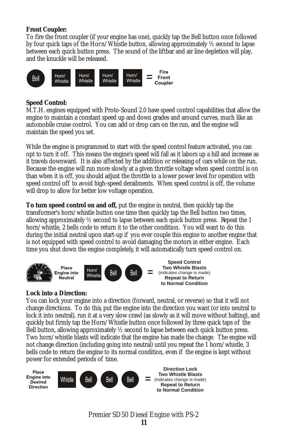**Front Coupler:**

To fire the front coupler (if your engine has one), quickly tap the Bell button once followed by four quick taps of the Horn/Whistle button, allowing approximately ½ second to lapse between each quick button press. The sound of the liftbar and air line depletion will play, and the knuckle will be released.



**Speed Control:** 

M.T.H. engines equipped with Proto-Sound 2.0 have speed control capabilities that allow the engine to maintain a constant speed up and down grades and around curves, much like an automobile cruise control. You can add or drop cars on the run, and the engine will maintain the speed you set.

While the engine is programmed to start with the speed control feature activated, you can opt to turn it off. This means the engine's speed will fall as it labors up a hill and increase as it travels downward. It is also affected by the addition or releasing of cars while on the run. Because the engine will run more slowly at a given throttle voltage when speed control is on than when it is off, you should adjust the throttle to a lower power level for operation with speed control off to avoid high-speed derailments. When speed control is off, the volume will drop to allow for better low voltage operation.

**To turn speed control on and off,** put the engine in neutral, then quickly tap the transformer's horn/whistle button one time then quickly tap the Bell button two times, allowing approximately  $\frac{1}{2}$  second to lapse between each quick button press. Repeat the 1 horn/whistle, 2 bells code to return it to the other condition. You will want to do this during the initial neutral upon start-up if you ever couple this engine to another engine that is not equipped with speed control to avoid damaging the motors in either engine. Each time you shut down the engine completely, it will automatically turn speed control on.



#### **Lock into a Direction:**

You can lock your engine into a direction (forward, neutral, or reverse) so that it will not change directions. To do this, put the engine into the direction you want (or into neutral to lock it into neutral), run it at a very slow crawl (as slowly as it will move without halting), and quickly but firmly tap the Horn/Whistle button once followed by three quick taps of the Bell button, allowing approximately ½ second to lapse between each quick button press. Two horn/whistle blasts will indicate that the engine has made the change. The engine will not change direction (including going into neutral) until you repeat the 1 horn/whistle, 3 bells code to return the engine to its normal condition, even if the engine is kept without power for extended periods of time.

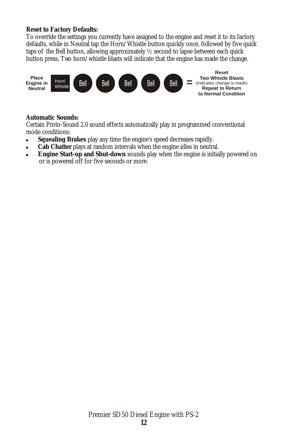**Reset to Factory Defaults:**

To override the settings you currently have assigned to the engine and reset it to its factory defaults, while in Neutral tap the Horn/Whistle button quickly once, followed by five quick taps of the Bell button, allowing approximately ½ second to lapse between each quick button press. Two horn/whistle blasts will indicate that the engine has made the change.



**Automatic Sounds:**

Certain Proto-Sound 2.0 sound effects automatically play in programmed conventional mode conditions:

- ! **Squealing Brakes** play any time the engine's speed decreases rapidly.
- ! **Cab Chatter** plays at random intervals when the engine idles in neutral.
- ! **Engine Start-up and Shut-down** sounds play when the engine is initially powered on or is powered off for five seconds or more.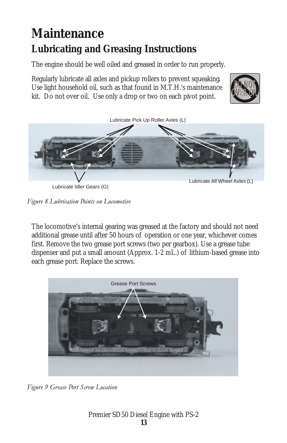## **Maintenance Lubricating and Greasing Instructions**

The engine should be well oiled and greased in order to run properly.

Regularly lubricate all axles and pickup rollers to prevent squeaking. Use light household oil, such as that found in M.T.H.'s maintenance kit. Do not over oil. Use only a drop or two on each pivot point.





Lubricate Idler Gears (G)

Figure 8 Lubrication Points on Locomotive

The locomotive's internal gearing was greased at the factory and should not need additional grease until after 50 hours of operation or one year, whichever comes first. Remove the two grease port screws (two per gearbox). Use a grease tube dispenser and put a small amount (Approx. 1-2 mL.) of lithium-based grease into each grease port. Replace the screws.



Figure 9 Grease Port Screw Location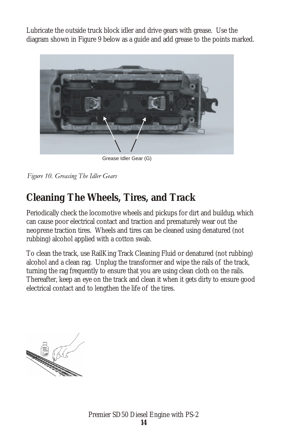Lubricate the outside truck block idler and drive gears with grease. Use the diagram shown in Figure 9 below as a guide and add grease to the points marked.



Grease Idler Gear (G)

## **Cleaning The Wheels, Tires, and Track**

Periodically check the locomotive wheels and pickups for dirt and buildup, which can cause poor electrical contact and traction and prematurely wear out the neoprene traction tires. Wheels and tires can be cleaned using denatured (not rubbing) alcohol applied with a cotton swab.

To clean the track, use RailKing Track Cleaning Fluid or denatured (not rubbing) alcohol and a clean rag. Unplug the transformer and wipe the rails of the track, turning the rag frequently to ensure that you are using clean cloth on the rails. Thereafter, keep an eye on the track and clean it when it gets dirty to ensure good electrical contact and to lengthen the life of the tires.

Figure 10. Greasing The Idler Gears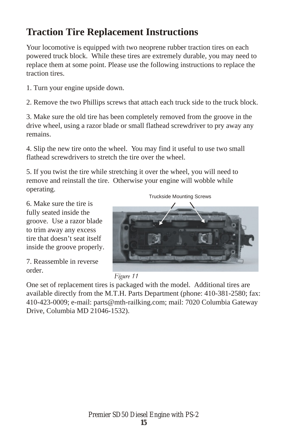### **Traction Tire Replacement Instructions**

Your locomotive is equipped with two neoprene rubber traction tires on each powered truck block. While these tires are extremely durable, you may need to replace them at some point. Please use the following instructions to replace the traction tires.

1. Turn your engine upside down.

2. Remove the two Phillips screws that attach each truck side to the truck block.

3. Make sure the old tire has been completely removed from the groove in the drive wheel, using a razor blade or small flathead screwdriver to pry away any remains.

4. Slip the new tire onto the wheel. You may find it useful to use two small flathead screwdrivers to stretch the tire over the wheel.

5. If you twist the tire while stretching it over the wheel, you will need to remove and reinstall the tire. Otherwise your engine will wobble while operating.

6. Make sure the tire is fully seated inside the groove. Use a razor blade to trim away any excess tire that doesn't seat itself inside the groove properly.

7. Reassemble in reverse order.

Truckside Mounting Screws





One set of replacement tires is packaged with the model. Additional tires are available directly from the M.T.H. Parts Department (phone: 410-381-2580; fax: 410-423-0009; e-mail: parts@mth-railking.com; mail: 7020 Columbia Gateway Drive, Columbia MD 21046-1532).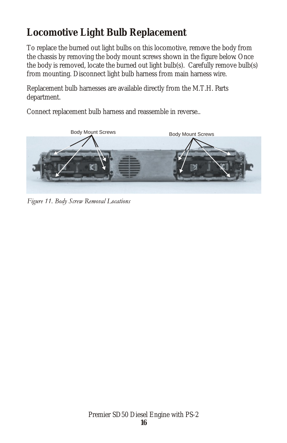## **Locomotive Light Bulb Replacement**

To replace the burned out light bulbs on this locomotive, remove the body from the chassis by removing the body mount screws shown in the figure below. Once the body is removed, locate the burned out light bulb(s). Carefully remove bulb(s) from mounting. Disconnect light bulb harness from main harness wire.

Replacement bulb harnesses are available directly from the M.T.H. Parts department.

Connect replacement bulb harness and reassemble in reverse..



Figure 11. Body Screw Removal Locations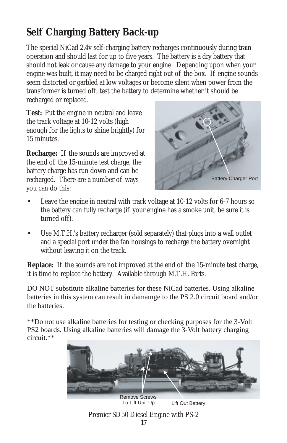## **Self Charging Battery Back-up**

The special NiCad 2.4v self-charging battery recharges continuously during train operation and should last for up to five years. The battery is a dry battery that should not leak or cause any damage to your engine. Depending upon when your engine was built, it may need to be charged right out of the box. If engine sounds seem distorted or garbled at low voltages or become silent when power from the transformer is turned off, test the battery to determine whether it should be recharged or replaced.

**Test:** Put the engine in neutral and leave the track voltage at 10-12 volts (high enough for the lights to shine brightly) for 15 minutes.

**Recharge:** If the sounds are improved at the end of the 15-minute test charge, the battery charge has run down and can be recharged. There are a number of ways you can do this:



- Leave the engine in neutral with track voltage at 10-12 volts for 6-7 hours so the battery can fully recharge (if your engine has a smoke unit, be sure it is turned off).
- Use M.T.H.'s battery recharger (sold separately) that plugs into a wall outlet and a special port under the fan housings to recharge the battery overnight without leaving it on the track.

**Replace:** If the sounds are not improved at the end of the 15-minute test charge, it is time to replace the battery. Available through M.T.H. Parts.

DO NOT substitute alkaline batteries for these NiCad batteries. Using alkaline batteries in this system can result in damamge to the PS 2.0 circuit board and/or the batteries.

\*\*Do not use alkaline batteries for testing or checking purposes for the 3-Volt PS2 boards. Using alkaline batteries will damage the 3-Volt battery charging circuit.\*\*

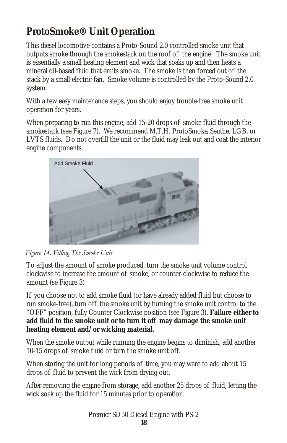## **ProtoSmoke® Unit Operation**

This diesel locomotive contains a Proto-Sound 2.0 controlled smoke unit that outputs smoke through the smokestack on the roof of the engine. The smoke unit is essentially a small heating element and wick that soaks up and then heats a mineral oil-based fluid that emits smoke. The smoke is then forced out of the stack by a small electric fan. Smoke volume is controlled by the Proto-Sound 2.0 system.

With a few easy maintenance steps, you should enjoy trouble-free smoke unit operation for years.

When preparing to run this engine, add 15-20 drops of smoke fluid through the smokestack (see Figure 7). We recommend M.T.H. ProtoSmoke, Seuthe, LGB, or LVTS fluids. Do not overfill the unit or the fluid may leak out and coat the interior engine components.



#### Figure 14. Filling The Smoke Unit

To adjust the amount of smoke produced, turn the smoke unit volume control clockwise to increase the amount of smoke, or counter-clockwise to reduce the amount (se Figure 3)

If you choose not to add smoke fluid (or have already added fluid but choose to run smoke-free), turn off the smoke unit by turning the smoke unit control to the "OFF" position, fully Counter Clockwise position (see Figure 3). **Failure either to add fluid to the smoke unit or to turn it off may damage the smoke unit heating element and/or wicking material.**

When the smoke output while running the engine begins to diminish, add another 10-15 drops of smoke fluid or turn the smoke unit off.

When storing the unit for long periods of time, you may want to add about 15 drops of fluid to prevent the wick from drying out.

After removing the engine from storage, add another 25 drops of fluid, letting the wick soak up the fluid for 15 minutes prior to operation.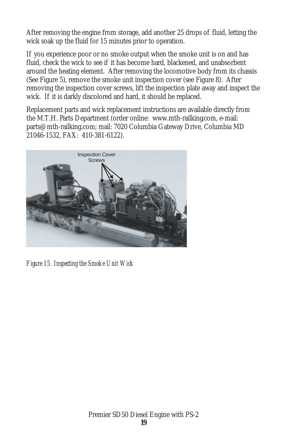After removing the engine from storage, add another 25 drops of fluid, letting the wick soak up the fluid for 15 minutes prior to operation.

If you experience poor or no smoke output when the smoke unit is on and has fluid, check the wick to see if it has become hard, blackened, and unabsorbent around the heating element. After removing the locomotive body from its chassis (See Figure 5), remove the smoke unit inspection cover (see Figure 8). After removing the inspection cover screws, lift the inspection plate away and inspect the wick. If it is darkly discolored and hard, it should be replaced.

Replacement parts and wick replacement instructions are available directly from the M.T.H. Parts Department (order online: www.mth-railking.com, e-mail: parts@mth-railking.com; mail: 7020 Columbia Gateway Drive, Columbia MD 21046-1532, FAX: 410-381-6122).



*Figure 15. Inspecting the Smoke Unit Wick*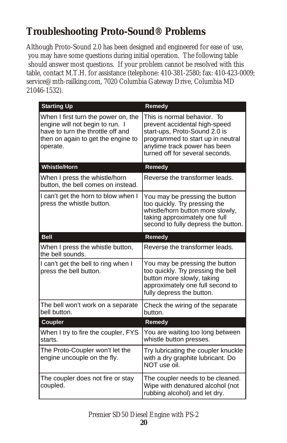## **Troubleshooting Proto-Sound® Problems**

Although Proto-Sound 2.0 has been designed and engineered for ease of use, you may have some questions during initial operation. The following table should answer most questions. If your problem cannot be resolved with this table, contact M.T.H. for assistance (telephone: 410-381-2580; fax: 410-423-0009; service@mth-railking.com, 7020 Columbia Gateway Drive, Columbia MD 21046-1532).

| <b>Starting Up</b>                                                                                                                                            | Remedy                                                                                                                                                                                                |
|---------------------------------------------------------------------------------------------------------------------------------------------------------------|-------------------------------------------------------------------------------------------------------------------------------------------------------------------------------------------------------|
| When I first turn the power on, the<br>engine will not begin to run. I<br>have to turn the throttle off and<br>then on again to get the engine to<br>operate. | This is normal behavior. To<br>prevent accidental high-speed<br>start-ups, Proto-Sound 2.0 is<br>programmed to start up in neutral<br>anytime track power has been<br>turned off for several seconds. |
| <b>Whistle/Horn</b>                                                                                                                                           | Remedy                                                                                                                                                                                                |
| When I press the whistle/horn<br>button, the bell comes on instead.                                                                                           | Reverse the transformer leads.                                                                                                                                                                        |
| I can't get the horn to blow when I<br>press the whistle button.                                                                                              | You may be pressing the button<br>too quickly. Try pressing the<br>whistle/horn button more slowly,<br>taking approximately one full<br>second to fully depress the button.                           |
| <b>Bell</b>                                                                                                                                                   | Remedy                                                                                                                                                                                                |
| When I press the whistle button,<br>the bell sounds.                                                                                                          | Reverse the transformer leads.                                                                                                                                                                        |
| I can't get the bell to ring when I<br>press the bell button.                                                                                                 | You may be pressing the button<br>too quickly. Try pressing the bell<br>button more slowly, taking<br>approximately one full second to<br>fully depress the button.                                   |
| The bell won't work on a separate<br>bell button.                                                                                                             | Check the wiring of the separate<br>button.                                                                                                                                                           |
| Coupler                                                                                                                                                       | Remedy                                                                                                                                                                                                |
| When I try to fire the coupler, FYS<br>starts.                                                                                                                | You are waiting too long between<br>whistle button presses.                                                                                                                                           |
| The Proto-Coupler won't let the<br>engine uncouple on the fly.                                                                                                | Try lubricating the coupler knuckle<br>with a dry graphite lubricant. Do<br>NOT use oil.                                                                                                              |
| The coupler does not fire or stay<br>coupled.                                                                                                                 | The coupler needs to be cleaned.<br>Wipe with denatured alcohol (not<br>rubbing alcohol) and let dry.                                                                                                 |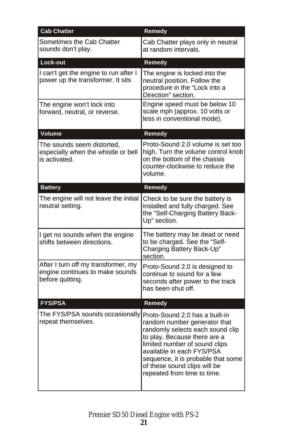| <b>Cab Chatter</b>                                                                         | <b>Remedy</b>                                                                                                                                                                                                                                                                                         |
|--------------------------------------------------------------------------------------------|-------------------------------------------------------------------------------------------------------------------------------------------------------------------------------------------------------------------------------------------------------------------------------------------------------|
| Sometimes the Cab Chatter<br>sounds don't play.                                            | Cab Chatter plays only in neutral<br>at random intervals.                                                                                                                                                                                                                                             |
| Lock-out                                                                                   | Remedy                                                                                                                                                                                                                                                                                                |
| I can't get the engine to run after I<br>power up the transformer. It sits                 | The engine is locked into the<br>neutral position. Follow the<br>procedure in the "Lock into a<br>Direction" section.                                                                                                                                                                                 |
| The engine won't lock into<br>forward, neutral, or reverse.                                | Engine speed must be below 10<br>scale mph (approx. 10 volts or<br>less in conventional mode).                                                                                                                                                                                                        |
| Volume                                                                                     | Remedy                                                                                                                                                                                                                                                                                                |
| The sounds seem distorted,<br>especially when the whistle or bell<br>is activated.         | Proto-Sound 2.0 volume is set too<br>high. Turn the volume control knob<br>on the bottom of the chassis<br>counter-clockwise to reduce the<br>volume.                                                                                                                                                 |
| <b>Battery</b>                                                                             | Remedy                                                                                                                                                                                                                                                                                                |
| The engine will not leave the initial<br>neutral setting.                                  | Check to be sure the battery is<br>installed and fully charged. See<br>the "Self-Charging Battery Back-<br>Up" section.                                                                                                                                                                               |
| I get no sounds when the engine<br>shifts between directions.                              | The battery may be dead or need<br>to be charged. See the "Self-<br>Charging Battery Back-Up"<br>section.                                                                                                                                                                                             |
| After I turn off my transformer, my<br>engine continues to make sounds<br>before quitting. | Proto-Sound 2.0 is designed to<br>continue to sound for a few<br>seconds after power to the track<br>has been shut off.                                                                                                                                                                               |
| <b>FYS/PSA</b>                                                                             | Remedy                                                                                                                                                                                                                                                                                                |
| The FYS/PSA sounds occasionally<br>repeat themselves.                                      | Proto-Sound 2.0 has a built-in<br>random number generator that<br>randomly selects each sound clip<br>to play. Because there are a<br>limited number of sound clips<br>available in each FYS/PSA<br>sequence, it is probable that some<br>of these sound clips will be<br>repeated from time to time. |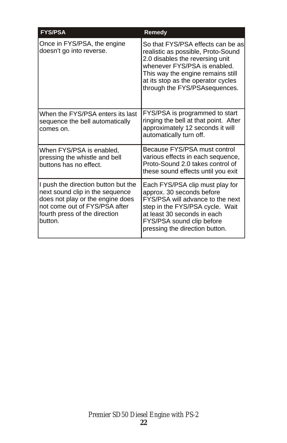| <b>FYS/PSA</b>                                                                                                                                                                          | Remedy                                                                                                                                                                                                                                                 |
|-----------------------------------------------------------------------------------------------------------------------------------------------------------------------------------------|--------------------------------------------------------------------------------------------------------------------------------------------------------------------------------------------------------------------------------------------------------|
| Once in FYS/PSA, the engine<br>doesn't go into reverse.                                                                                                                                 | So that FYS/PSA effects can be as<br>realistic as possible, Proto-Sound<br>2.0 disables the reversing unit<br>whenever FYS/PSA is enabled.<br>This way the engine remains still<br>at its stop as the operator cycles<br>through the FYS/PSAsequences. |
| When the FYS/PSA enters its last<br>sequence the bell automatically<br>comes on.                                                                                                        | FYS/PSA is programmed to start<br>ringing the bell at that point. After<br>approximately 12 seconds it will<br>automatically turn off.                                                                                                                 |
| When FYS/PSA is enabled,<br>pressing the whistle and bell<br>buttons has no effect.                                                                                                     | Because FYS/PSA must control<br>various effects in each sequence,<br>Proto-Sound 2.0 takes control of<br>these sound effects until you exit                                                                                                            |
| I push the direction button but the<br>next sound clip in the sequence<br>does not play or the engine does<br>not come out of FYS/PSA after<br>fourth press of the direction<br>button. | Each FYS/PSA clip must play for<br>approx. 30 seconds before<br>FYS/PSA will advance to the next<br>step in the FYS/PSA cycle. Wait<br>at least 30 seconds in each<br>FYS/PSA sound clip before<br>pressing the direction button.                      |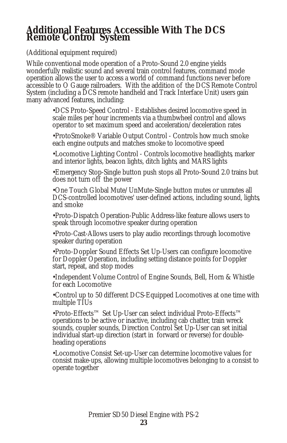# **Additional Features Accessible With The DCS Remote Control System**

(Additional equipment required)

While conventional mode operation of a Proto-Sound 2.0 engine yields wonderfully realistic sound and several train control features, command mode operation allows the user to access a world of command functions never before accessible to O Gauge railroaders. With the addition of the DCS Remote Control System (including a DCS remote handheld and Track Interface Unit) users gain many advanced features, including:

> •DCS Proto-Speed Control - Establishes desired locomotive speed in scale miles per hour increments via a thumbwheel control and allows operator to set maximum speed and acceleration/deceleration rates

> •ProtoSmoke® Variable Output Control - Controls how much smoke each engine outputs and matches smoke to locomotive speed

•Locomotive Lighting Control - Controls locomotive headlights, marker and interior lights, beacon lights, ditch lights, and MARS lights

•Emergency Stop-Single button push stops all Proto-Sound 2.0 trains but does not turn off the power

•One Touch Global Mute/UnMute-Single button mutes or unmutes all DCS-controlled locomotives' user-defined actions, including sound, lights, and smoke

•Proto-Dispatch Operation-Public Address-like feature allows users to speak through locomotive speaker during operation

•Proto-Cast-Allows users to play audio recordings through locomotive speaker during operation

•Proto-Doppler Sound Effects Set Up-Users can configure locomotive for Doppler Operation, including setting distance points for Doppler start, repeat, and stop modes

•Independent Volume Control of Engine Sounds, Bell, Horn & Whistle for each Locomotive

•Control up to 50 different DCS-Equipped Locomotives at one time with multiple TIUs

•Proto-Effects™ Set Up-User can select individual Proto-Effects™ operations to be active or inactive, including cab chatter, train wreck sounds, coupler sounds, Direction Control Set Up-User can set initial individual start-up direction (start in forward or reverse) for doubleheading operations

•Locomotive Consist Set-up-User can determine locomotive values for consist make-ups, allowing multiple locomotives belonging to a consist to operate together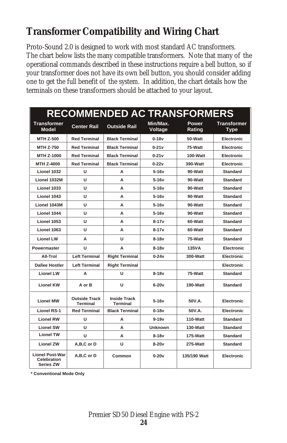## **Transformer Compatibility and Wiring Chart**

Proto-Sound 2.0 is designed to work with most standard AC transformers. The chart below lists the many compatible transformers. Note that many of the operational commands described in these instructions require a bell button, so if your transformer does not have its own bell button, you should consider adding one to get the full benefit of the system. In addition, the chart details how the terminals on these transformers should be attached to your layout.

| <b>RECOMMENDED AC TRANSFORMERS</b>                        |                                         |                                        |                     |                        |                                   |
|-----------------------------------------------------------|-----------------------------------------|----------------------------------------|---------------------|------------------------|-----------------------------------|
| <b>Transformer</b><br>Model                               | <b>Center Rail</b>                      | <b>Outside Rail</b>                    | Min/Max.<br>Voltage | <b>Power</b><br>Rating | <b>Transformer</b><br><b>Type</b> |
| <b>MTH Z-500</b>                                          | <b>Red Terminal</b>                     | <b>Black Terminal</b>                  | $0-18v$             | 50-Watt                | Electronic                        |
| <b>MTH Z-750</b>                                          | <b>Red Terminal</b>                     | <b>Black Terminal</b>                  | $0-21v$             | 75-Watt                | Electronic                        |
| MTH Z-1000                                                | <b>Red Terminal</b>                     | <b>Black Terminal</b>                  | $0-21v$             | $100-Watt$             | Electronic                        |
| MTH Z-4000                                                | <b>Red Terminal</b>                     | <b>Black Terminal</b>                  | $0 - 22v$           | 390-Watt               | Electronic                        |
| Lionel 1032                                               | U                                       | A                                      | $5-16v$             | 90-Watt                | <b>Standard</b>                   |
| Lionel 1032M                                              | U                                       | A                                      | $5-16v$             | 90-Watt                | <b>Standard</b>                   |
| Lionel 1033                                               | U                                       | A                                      | $5-16v$             | 90-Watt                | <b>Standard</b>                   |
| Lionel 1043                                               | U                                       | A                                      | $5-16v$             | 90-Watt                | <b>Standard</b>                   |
| Lionel 1043M                                              | U                                       | A                                      | $5-16v$             | 90-Watt                | <b>Standard</b>                   |
| Lionel 1044                                               | U                                       | A                                      | $5-16v$             | 90-Watt                | <b>Standard</b>                   |
| Lionel 1053                                               | U                                       | A                                      | $8 - 17v$           | 60-Watt                | <b>Standard</b>                   |
| Lionel 1063                                               | U                                       | A                                      | $8 - 17v$           | 60-Watt                | <b>Standard</b>                   |
| <b>Lionel LW</b>                                          | Α                                       | U                                      | $8-18v$             | 75-Watt                | <b>Standard</b>                   |
| Powermaster                                               | U                                       | A                                      | $8-18v$             | <b>135VA</b>           | <b>Electronic</b>                 |
| All-Trol                                                  | <b>Left Terminal</b>                    | <b>Right Terminal</b>                  | $0 - 24v$           | 300-Watt               | Electronic                        |
| <b>Dallee Hostler</b>                                     | <b>Left Terminal</b>                    | <b>Right Terminal</b>                  |                     |                        | Electronic                        |
| <b>Lionel LW</b>                                          | А                                       | U                                      | $8-18v$             | 75-Watt                | <b>Standard</b>                   |
| <b>Lionel KW</b>                                          | A or B                                  | U                                      | $6-20v$             | 190-Watt               | <b>Standard</b>                   |
| <b>Lionel MW</b>                                          | <b>Outside Track</b><br><b>Terminal</b> | <b>Inside Track</b><br><b>Terminal</b> | $5-16v$             | 50V.A.                 | Electronic                        |
| <b>Lionel RS-1</b>                                        | <b>Red Terminal</b>                     | <b>Black Terminal</b>                  | $0 - 18v$           | 50V.A.                 | <b>Electronic</b>                 |
| <b>Lionel RW</b>                                          | U                                       | A                                      | $9 - 19v$           | 110-Watt               | <b>Standard</b>                   |
| <b>Lionel SW</b>                                          | U                                       | A                                      | <b>Unknown</b>      | 130-Watt               | <b>Standard</b>                   |
| <b>Lionel TW</b>                                          | U                                       | A                                      | $8-18v$             | 175-Watt               | <b>Standard</b>                   |
| <b>Lionel ZW</b>                                          | A,B,C or D                              | U                                      | $8-20v$             | 275-Watt               | <b>Standard</b>                   |
| <b>Lionel Post-War</b><br>Celebration<br><b>Series ZW</b> | A,B,C or D                              | Common                                 | $0-20v$             | 135/190 Watt           | <b>Electronic</b>                 |

**\* Conventional Mode Only**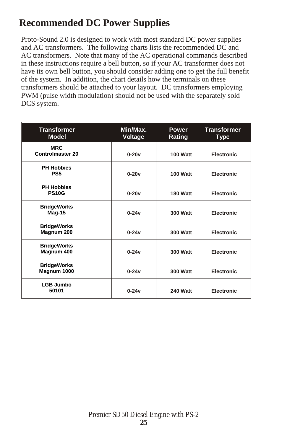### **Recommended DC Power Supplies**

Proto-Sound 2.0 is designed to work with most standard DC power supplies and AC transformers. The following charts lists the recommended DC and AC transformers. Note that many of the AC operational commands described in these instructions require a bell button, so if your AC transformer does not have its own bell button, you should consider adding one to get the full benefit of the system. In addition, the chart details how the terminals on these transformers should be attached to your layout. DC transformers employing PWM (pulse width modulation) should not be used with the separately sold DCS system.

| <b>Transformer</b><br><b>Model</b>    | Min/Max.<br>Voltage | <b>Power</b><br>Rating | <b>Transformer</b><br><b>Type</b> |
|---------------------------------------|---------------------|------------------------|-----------------------------------|
| <b>MRC</b><br><b>Controlmaster 20</b> | $0-20v$             | 100 Watt               | <b>Electronic</b>                 |
| <b>PH Hobbies</b><br>PS <sub>5</sub>  | $0-20v$             | 100 Watt               | <b>Electronic</b>                 |
| <b>PH Hobbies</b><br><b>PS10G</b>     | $0 - 20v$           | 180 Watt               | Electronic                        |
| <b>BridgeWorks</b><br>Mag-15          | $0-24v$             | <b>300 Watt</b>        | Electronic                        |
| <b>BridgeWorks</b><br>Magnum 200      | $0 - 24v$           | 300 Watt               | Electronic                        |
| <b>BridgeWorks</b><br>Magnum 400      | $0 - 24v$           | <b>300 Watt</b>        | Electronic                        |
| <b>BridgeWorks</b><br>Magnum 1000     | $0-24v$             | <b>300 Watt</b>        | <b>Electronic</b>                 |
| <b>LGB Jumbo</b><br>50101             | $0-24v$             | 240 Watt               | <b>Electronic</b>                 |